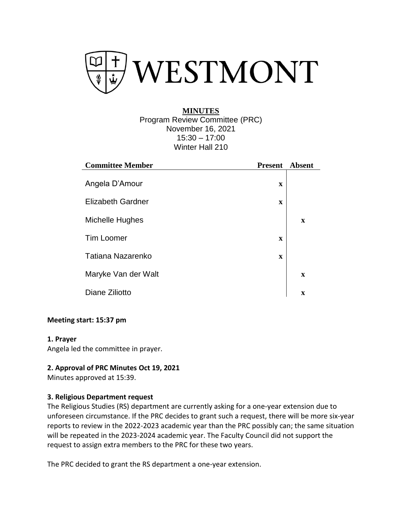

# **MINUTES** Program Review Committee (PRC) November 16, 2021 15:30 – 17:00 Winter Hall 210

| <b>Committee Member</b>  | <b>Present</b> | Absent      |
|--------------------------|----------------|-------------|
| Angela D'Amour           | $\mathbf x$    |             |
| <b>Elizabeth Gardner</b> | $\mathbf x$    |             |
| Michelle Hughes          |                | $\mathbf x$ |
| <b>Tim Loomer</b>        | $\mathbf x$    |             |
| Tatiana Nazarenko        | $\mathbf x$    |             |
| Maryke Van der Walt      |                | $\mathbf x$ |
| Diane Ziliotto           |                | $\mathbf x$ |

### **Meeting start: 15:37 pm**

#### **1. Prayer**

Angela led the committee in prayer.

### **2. Approval of PRC Minutes Oct 19, 2021**

Minutes approved at 15:39.

#### **3. Religious Department request**

The Religious Studies (RS) department are currently asking for a one-year extension due to unforeseen circumstance. If the PRC decides to grant such a request, there will be more six-year reports to review in the 2022-2023 academic year than the PRC possibly can; the same situation will be repeated in the 2023-2024 academic year. The Faculty Council did not support the request to assign extra members to the PRC for these two years.

The PRC decided to grant the RS department a one-year extension.